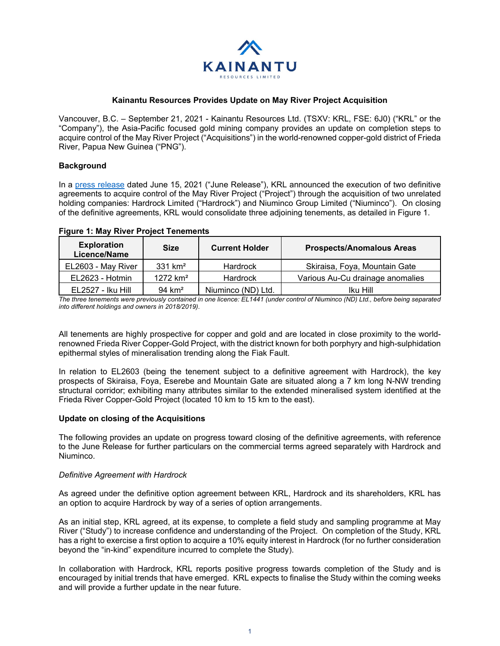

# **Kainantu Resources Provides Update on May River Project Acquisition**

Vancouver, B.C. – September 21, 2021 - Kainantu Resources Ltd. (TSXV: KRL, FSE: 6J0) ("KRL" or the "Company"), the Asia-Pacific focused gold mining company provides an update on completion steps to acquire control of the May River Project ("Acquisitions") in the world-renowned copper-gold district of Frieda River, Papua New Guinea ("PNG").

## **Background**

In a [press release](https://www.kainanturesources.com/news/news-releases/acquisition-of-highly-prospective-copper-gold-project) dated June 15, 2021 ("June Release"), KRL announced the execution of two definitive agreements to acquire control of the May River Project ("Project") through the acquisition of two unrelated holding companies: Hardrock Limited ("Hardrock") and Niuminco Group Limited ("Niuminco"). On closing of the definitive agreements, KRL would consolidate three adjoining tenements, as detailed in Figure 1.

| <b>Exploration</b><br>Licence/Name | <b>Size</b>           | <b>Current Holder</b> | <b>Prospects/Anomalous Areas</b> |
|------------------------------------|-----------------------|-----------------------|----------------------------------|
| EL2603 - May River                 | $331$ km <sup>2</sup> | <b>Hardrock</b>       | Skiraisa, Foya, Mountain Gate    |
| EL2623 - Hotmin                    | $1272 \text{ km}^2$   | <b>Hardrock</b>       | Various Au-Cu drainage anomalies |
| <b>EL2527 - Iku Hill</b>           | 94 $km2$              | Niuminco (ND) Ltd.    | Iku Hill                         |

### **Figure 1: May River Project Tenements**

*The three tenements were previously contained in one licence: EL1441 (under control of Niuminco (ND) Ltd., before being separated into different holdings and owners in 2018/2019).* 

All tenements are highly prospective for copper and gold and are located in close proximity to the worldrenowned Frieda River Copper-Gold Project, with the district known for both porphyry and high-sulphidation epithermal styles of mineralisation trending along the Fiak Fault.

In relation to EL2603 (being the tenement subject to a definitive agreement with Hardrock), the key prospects of Skiraisa, Foya, Eserebe and Mountain Gate are situated along a 7 km long N-NW trending structural corridor; exhibiting many attributes similar to the extended mineralised system identified at the Frieda River Copper-Gold Project (located 10 km to 15 km to the east).

### **Update on closing of the Acquisitions**

The following provides an update on progress toward closing of the definitive agreements, with reference to the June Release for further particulars on the commercial terms agreed separately with Hardrock and Niuminco.

### *Definitive Agreement with Hardrock*

As agreed under the definitive option agreement between KRL, Hardrock and its shareholders, KRL has an option to acquire Hardrock by way of a series of option arrangements.

As an initial step, KRL agreed, at its expense, to complete a field study and sampling programme at May River ("Study") to increase confidence and understanding of the Project. On completion of the Study, KRL has a right to exercise a first option to acquire a 10% equity interest in Hardrock (for no further consideration beyond the "in-kind" expenditure incurred to complete the Study).

In collaboration with Hardrock, KRL reports positive progress towards completion of the Study and is encouraged by initial trends that have emerged. KRL expects to finalise the Study within the coming weeks and will provide a further update in the near future.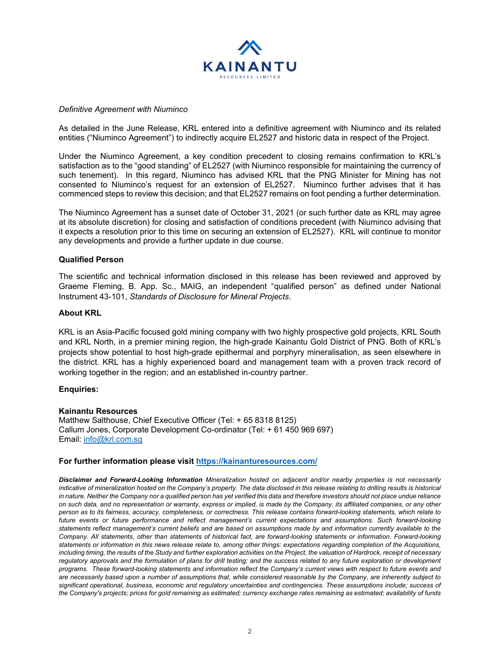

## *Definitive Agreement with Niuminco*

As detailed in the June Release, KRL entered into a definitive agreement with Niuminco and its related entities ("Niuminco Agreement") to indirectly acquire EL2527 and historic data in respect of the Project.

Under the Niuminco Agreement, a key condition precedent to closing remains confirmation to KRL's satisfaction as to the "good standing" of EL2527 (with Niuminco responsible for maintaining the currency of such tenement). In this regard, Niuminco has advised KRL that the PNG Minister for Mining has not consented to Niuminco's request for an extension of EL2527. Niuminco further advises that it has commenced steps to review this decision; and that EL2527 remains on foot pending a further determination.

The Niuminco Agreement has a sunset date of October 31, 2021 (or such further date as KRL may agree at its absolute discretion) for closing and satisfaction of conditions precedent (with Niuminco advising that it expects a resolution prior to this time on securing an extension of EL2527). KRL will continue to monitor any developments and provide a further update in due course.

## **Qualified Person**

The scientific and technical information disclosed in this release has been reviewed and approved by Graeme Fleming, B. App. Sc., MAIG, an independent "qualified person" as defined under National Instrument 43-101, *Standards of Disclosure for Mineral Projects*.

# **About KRL**

KRL is an Asia-Pacific focused gold mining company with two highly prospective gold projects, KRL South and KRL North, in a premier mining region, the high-grade Kainantu Gold District of PNG. Both of KRL's projects show potential to host high-grade epithermal and porphyry mineralisation, as seen elsewhere in the district. KRL has a highly experienced board and management team with a proven track record of working together in the region; and an established in-country partner.

### **Enquiries:**

### **Kainantu Resources**

Matthew Salthouse, Chief Executive Officer (Tel: + 65 8318 8125) Callum Jones, Corporate Development Co-ordinator (Tel: + 61 450 969 697) Email: [info@krl.com.sg](mailto:info@krl.com.sg)

### **For further information please visit<https://kainanturesources.com/>**

*Disclaimer and Forward-Looking Information Mineralization hosted on adjacent and/or nearby properties is not necessarily*  indicative of mineralization hosted on the Company's property. The data disclosed in this release relating to drilling results is historical *in nature. Neither the Company nor a qualified person has yet verified this data and therefore investors should not place undue reliance on such data, and no representation or warranty, express or implied, is made by the Company, its affiliated companies, or any other person as to its fairness, accuracy, completeness, or correctness. This release contains forward-looking statements, which relate to future events or future performance and reflect management's current expectations and assumptions. Such forward-looking statements reflect management's current beliefs and are based on assumptions made by and information currently available to the Company. All statements, other than statements of historical fact, are forward-looking statements or information. Forward-looking statements or information in this news release relate to, among other things: expectations regarding completion of the Acquisitions, including timing, the results of the Study and further exploration activities on the Project, the valuation of Hardrock, receipt of necessary regulatory approvals and the formulation of plans for drill testing; and the success related to any future exploration or development programs. These forward-looking statements and information reflect the Company's current views with respect to future events and are necessarily based upon a number of assumptions that, while considered reasonable by the Company, are inherently subject to significant operational, business, economic and regulatory uncertainties and contingencies. These assumptions include; success of the Company's projects; prices for gold remaining as estimated; currency exchange rates remaining as estimated; availability of funds*